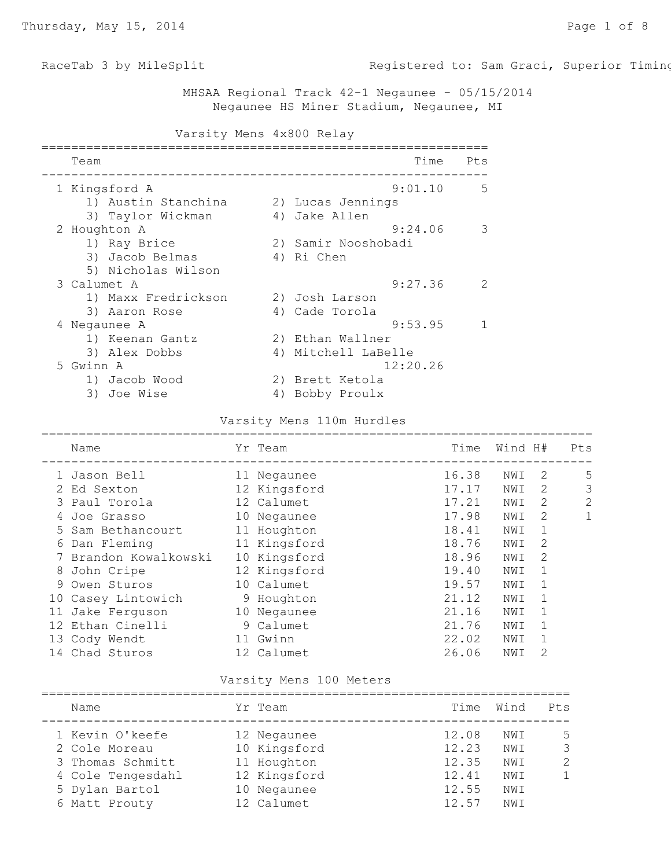RaceTab 3 by MileSplit **Registered to: Sam Graci, Superior Timin** 

 MHSAA Regional Track 42-1 Negaunee - 05/15/2014 Negaunee HS Miner Stadium, Negaunee, MI

| Varsity Mens 4x800 Relay |    |                     |      |               |
|--------------------------|----|---------------------|------|---------------|
| Team                     |    |                     | Time | Pts           |
| 1 Kingsford A            |    | 9:01.10             |      | -5            |
| 1) Austin Stanchina      |    | 2) Lucas Jennings   |      |               |
| 3) Taylor Wickman        |    | 4) Jake Allen       |      |               |
| 2 Houghton A             |    | 9:24.06             |      | 3             |
| 1) Ray Brice             |    | 2) Samir Nooshobadi |      |               |
| 3) Jacob Belmas          |    | 4) Ri Chen          |      |               |
| 5) Nicholas Wilson       |    |                     |      |               |
| 3 Calumet A              |    | 9:27.36             |      | $\mathcal{P}$ |
| 1) Maxx Fredrickson      |    | 2) Josh Larson      |      |               |
| 3) Aaron Rose            |    | 4) Cade Torola      |      |               |
| 4 Negaunee A             |    | 9:53.95             |      | $\mathbf{1}$  |
| 1) Keenan Gantz          |    | 2) Ethan Wallner    |      |               |
| 3) Alex Dobbs            |    | 4) Mitchell LaBelle |      |               |
| 5 Gwinn A                |    | 12:20.26            |      |               |
| 1) Jacob Wood            |    | 2) Brett Ketola     |      |               |
| 3) Joe Wise              | 4) | Bobby Proulx        |      |               |

### Varsity Mens 110m Hurdles

| Name                |                                                                                                                                                                    |       | Time                                                                                                                                                                                                        |     |   | Pts     |
|---------------------|--------------------------------------------------------------------------------------------------------------------------------------------------------------------|-------|-------------------------------------------------------------------------------------------------------------------------------------------------------------------------------------------------------------|-----|---|---------|
|                     |                                                                                                                                                                    |       | 16.38                                                                                                                                                                                                       | NWI | 2 | 5       |
| Ed Sexton           |                                                                                                                                                                    |       | 17.17                                                                                                                                                                                                       | NWI | 2 | 3       |
|                     |                                                                                                                                                                    |       | 17.21                                                                                                                                                                                                       | NWI | 2 | 2       |
| Joe Grasso          | 10                                                                                                                                                                 |       | 17.98                                                                                                                                                                                                       | NWI | 2 | 1       |
|                     |                                                                                                                                                                    |       | 18.41                                                                                                                                                                                                       | NWI | 1 |         |
| Dan Fleming         |                                                                                                                                                                    |       | 18.76                                                                                                                                                                                                       | NWI | 2 |         |
| Brandon Kowalkowski |                                                                                                                                                                    |       | 18.96                                                                                                                                                                                                       | NWI | 2 |         |
| John Cripe          |                                                                                                                                                                    |       | 19.40                                                                                                                                                                                                       | NWI | 1 |         |
| Owen Sturos         |                                                                                                                                                                    |       | 19.57                                                                                                                                                                                                       | NWI | 1 |         |
|                     |                                                                                                                                                                    |       | 21.12                                                                                                                                                                                                       | NWI | 1 |         |
|                     |                                                                                                                                                                    |       | 21.16                                                                                                                                                                                                       | NWI | 1 |         |
|                     |                                                                                                                                                                    |       | 21.76                                                                                                                                                                                                       | NWI |   |         |
|                     |                                                                                                                                                                    | Gwinn | 22.02                                                                                                                                                                                                       | NWI | 1 |         |
|                     |                                                                                                                                                                    |       | 26.06                                                                                                                                                                                                       | NWI | 2 |         |
|                     | 1 Jason Bell<br>3 Paul Torola<br>5 Sam Bethancourt<br>6<br>8<br>9<br>10 Casey Lintowich<br>11 Jake Ferguson<br>12 Ethan Cinelli<br>13 Cody Wendt<br>14 Chad Sturos |       | Yr Team<br>11 Negaunee<br>12 Kingsford<br>12 Calumet<br>Negaunee<br>11 Houghton<br>11 Kingsford<br>10 Kingsford<br>12 Kingsford<br>10 Calumet<br>9 Houghton<br>10 Negaunee<br>9 Calumet<br>11<br>12 Calumet |     |   | Wind H# |

### Varsity Mens 100 Meters

| Name              | Yr Team      | Time  | Wind | Pts            |
|-------------------|--------------|-------|------|----------------|
| 1 Kevin O'keefe   | 12 Negaunee  | 12.08 | NWI  | 5              |
| 2 Cole Moreau     | 10 Kingsford | 12.23 | NWI  | $\mathcal{S}$  |
| 3 Thomas Schmitt  | 11 Houghton  | 12.35 | NWI  | $\overline{2}$ |
| 4 Cole Tengesdahl | 12 Kingsford | 12.41 | NWI  | $\mathbf{1}$   |
| 5 Dylan Bartol    | 10 Negaunee  | 12.55 | NWI  |                |
| 6 Matt Prouty     | 12 Calumet   | 12.57 | NWI  |                |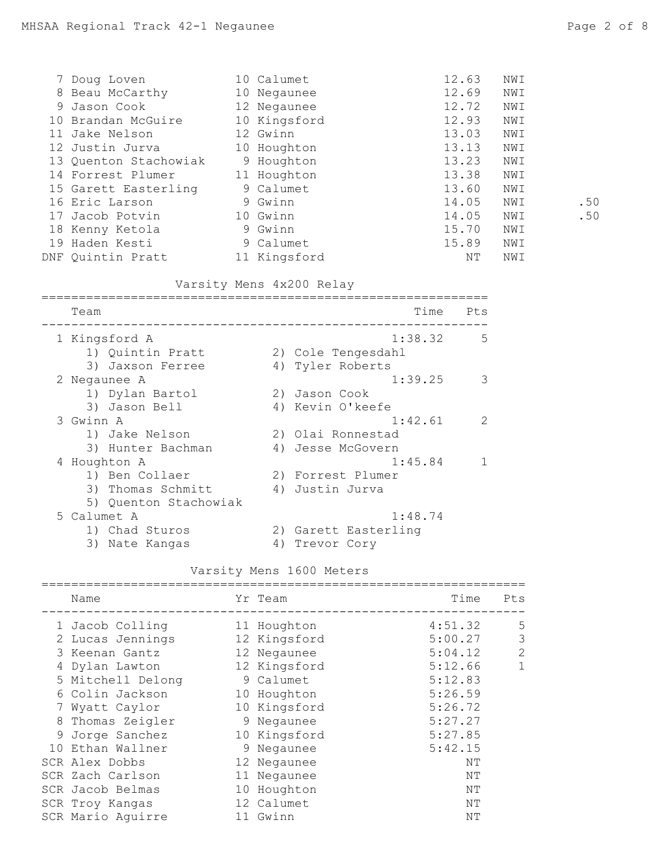| 7 Doug Loven          | 10 Calumet   | 12.63 | NWI |     |
|-----------------------|--------------|-------|-----|-----|
| 8 Beau McCarthy       | 10 Negaunee  | 12.69 | NWI |     |
| 9 Jason Cook          | 12 Negaunee  | 12.72 | NWI |     |
| 10 Brandan McGuire    | 10 Kingsford | 12.93 | NWI |     |
| 11 Jake Nelson        | 12 Gwinn     | 13.03 | NWI |     |
| 12 Justin Jurva       | 10 Houghton  | 13.13 | NWI |     |
| 13 Quenton Stachowiak | 9 Houghton   | 13.23 | NWI |     |
| 14 Forrest Plumer     | 11 Houghton  | 13.38 | NWI |     |
| 15 Garett Easterling  | 9 Calumet    | 13.60 | NWI |     |
| 16 Eric Larson        | 9 Gwinn      | 14.05 | NWI | .50 |
| 17 Jacob Potvin       | 10 Gwinn     | 14.05 | NWI | .50 |
| 18 Kenny Ketola       | 9 Gwinn      | 15.70 | NWI |     |
| 19 Haden Kesti        | 9 Calumet    | 15.89 | NWI |     |
| DNF Quintin Pratt     | 11 Kingsford | NΤ    | NWI |     |

# Varsity Mens 4x200 Relay

| Team      |                       |    | Time                 | Pts           |
|-----------|-----------------------|----|----------------------|---------------|
|           | 1 Kingsford A         |    | 1:38.32              | 5             |
|           | 1) Quintin Pratt      |    | 2) Cole Tengesdahl   |               |
|           | 3) Jaxson Ferree      |    | 4) Tyler Roberts     |               |
|           | 2 Negaunee A          |    | 1:39.25              | 3             |
|           | 1) Dylan Bartol       |    | 2) Jason Cook        |               |
|           | 3) Jason Bell         |    | 4) Kevin O'keefe     |               |
| 3 Gwinn A |                       |    | 1:42.61              | $\mathcal{P}$ |
|           | 1) Jake Nelson        |    | 2) Olai Ronnestad    |               |
|           | 3) Hunter Bachman     |    | 4) Jesse McGovern    |               |
|           | 4 Houghton A          |    | 1:45.84              |               |
|           | 1) Ben Collaer        |    | 2) Forrest Plumer    |               |
|           | 3) Thomas Schmitt     |    | 4) Justin Jurva      |               |
|           | 5) Quenton Stachowiak |    |                      |               |
|           | 5 Calumet A           |    | 1:48.74              |               |
|           | 1) Chad Sturos        |    | 2) Garett Easterling |               |
|           | 3) Nate Kangas        | 4) | Trevor Cory          |               |

# Varsity Mens 1600 Meters

| Name              | Yr Team      | Time    | Pts |
|-------------------|--------------|---------|-----|
| 1 Jacob Colling   | 11 Houghton  | 4:51.32 | 5   |
| 2 Lucas Jennings  | 12 Kingsford | 5:00.27 | 3   |
| 3 Keenan Gantz    | 12 Negaunee  | 5:04.12 | 2   |
| 4 Dylan Lawton    | 12 Kingsford | 5:12.66 | 1   |
| 5 Mitchell Delong | 9 Calumet    | 5:12.83 |     |
| 6 Colin Jackson   | 10 Houghton  | 5:26.59 |     |
| 7 Wyatt Caylor    | 10 Kingsford | 5:26.72 |     |
| 8 Thomas Zeigler  | 9 Negaunee   | 5:27.27 |     |
| 9 Jorge Sanchez   | 10 Kingsford | 5:27.85 |     |
| 10 Ethan Wallner  | 9 Negaunee   | 5:42.15 |     |
| SCR Alex Dobbs    | 12 Negaunee  | NΤ      |     |
| SCR Zach Carlson  | 11 Negaunee  | NΤ      |     |
| SCR Jacob Belmas  | 10 Houghton  | NΤ      |     |
| SCR Troy Kangas   | 12 Calumet   | NΤ      |     |
| SCR Mario Aquirre | 11 Gwinn     | ΝT      |     |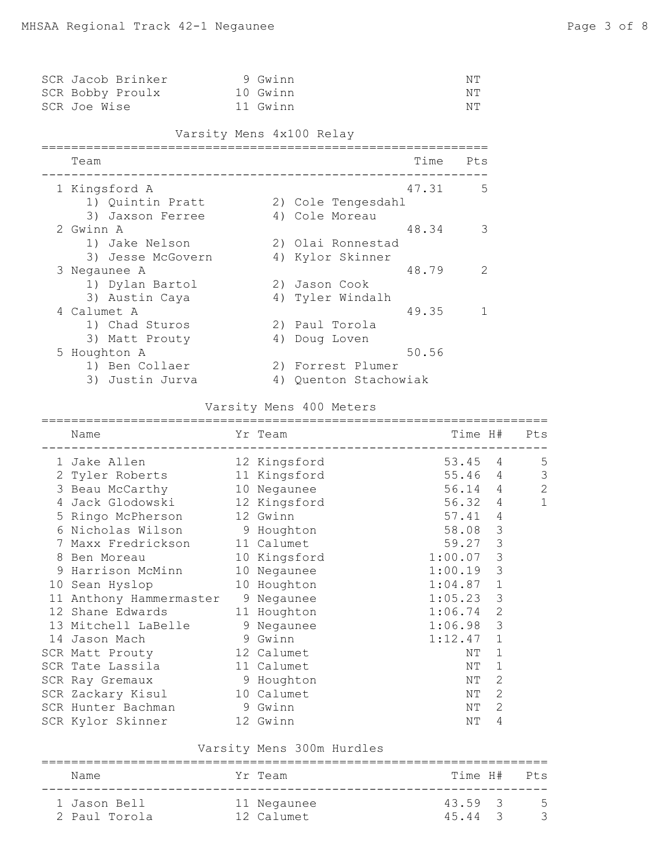| SCR Jacob Brinker |  | 9 Gwinn  | NΤ |
|-------------------|--|----------|----|
| SCR Bobby Proulx  |  | 10 Gwinn | NΤ |
| SCR Joe Wise      |  | 11 Gwinn | NΤ |

Varsity Mens 4x100 Relay

| Team              |    |                    | Time  | Pts |
|-------------------|----|--------------------|-------|-----|
| 1 Kingsford A     |    |                    | 47.31 | .5  |
| 1) Quintin Pratt  |    | 2) Cole Tengesdahl |       |     |
| 3) Jaxson Ferree  |    | 4) Cole Moreau     |       |     |
| 2 Gwinn A         |    |                    | 48.34 | 3   |
| 1) Jake Nelson    |    | 2) Olai Ronnestad  |       |     |
| 3) Jesse McGovern |    | 4) Kylor Skinner   |       |     |
| 3 Negaunee A      |    |                    | 48.79 | 2   |
| 1) Dylan Bartol   |    | 2) Jason Cook      |       |     |
| 3) Austin Caya    |    | 4) Tyler Windalh   |       |     |
| 4 Calumet A       |    |                    | 49.35 |     |
| 1) Chad Sturos    |    | 2) Paul Torola     |       |     |
| 3) Matt Prouty    |    | 4) Doug Loven      |       |     |
| 5 Houghton A      |    |                    | 50.56 |     |
| 1) Ben Collaer    |    | 2) Forrest Plumer  |       |     |
| 3) Justin Jurva   | 4) | Quenton Stachowiak |       |     |

# Varsity Mens 400 Meters

|   | =======                            |            |                                      |                |     |
|---|------------------------------------|------------|--------------------------------------|----------------|-----|
|   | Name                               | Yr Team    | Time H#<br>_________________________ |                | Pts |
|   | 1 Jake Allen 12 Kingsford          |            | 53.45 4                              |                | 5   |
|   | 2 Tyler Roberts 11 Kingsford       |            | 55.464                               |                | 3   |
|   | 3 Beau McCarthy 10 Negaunee        |            | 56.14 4                              |                | 2   |
| 4 | Jack Glodowski 12 Kingsford        |            | 56.32 4                              |                | 1   |
|   | 5 Ringo McPherson 12 Gwinn         |            | 57.41                                | $\overline{4}$ |     |
| 6 | Nicholas Wilson 9 Houghton         |            | 58.08                                | 3              |     |
|   | Maxx Fredrickson 11 Calumet        |            | 59.27                                | 3              |     |
| 8 | Ben Moreau 10 Kingsford            |            | 1:00.07                              | 3              |     |
|   | 9 Harrison McMinn 10 Negaunee      |            | 1:00.19                              | 3              |     |
|   | 10 Sean Hyslop 10 Houghton         |            | 1:04.87                              | 1              |     |
|   | 11 Anthony Hammermaster 9 Negaunee |            | 1:05.23                              | 3              |     |
|   | 12 Shane Edwards 11 Houghton       |            | 1:06.74                              | $\overline{2}$ |     |
|   | 13 Mitchell LaBelle 9 Negaunee     |            | 1:06.98                              | 3              |     |
|   | 14 Jason Mach                      | 9 Gwinn    | 1:12.47                              | 1              |     |
|   | SCR Matt Prouty 12 Calumet         |            | ΝT                                   | 1              |     |
|   | SCR Tate Lassila                   | 11 Calumet | ΝT                                   | 1              |     |
|   | 9 Houghton<br>SCR Ray Gremaux      |            | ΝT                                   | 2              |     |
|   | SCR Zackary Kisul 10 Calumet       |            | NΤ                                   | 2              |     |
|   | SCR Hunter Bachman                 | 9 Gwinn    | ΝT                                   | $\mathbf{2}$   |     |
|   | SCR Kylor Skinner 12 Gwinn         |            | NΤ                                   | 4              |     |

## Varsity Mens 300m Hurdles

| Name                          | Yr Team                   |                    | Time H# Pts |
|-------------------------------|---------------------------|--------------------|-------------|
| 1 Jason Bell<br>2 Paul Torola | 11 Negaunee<br>12 Calumet | 43.59 3<br>45.44 3 | - 5         |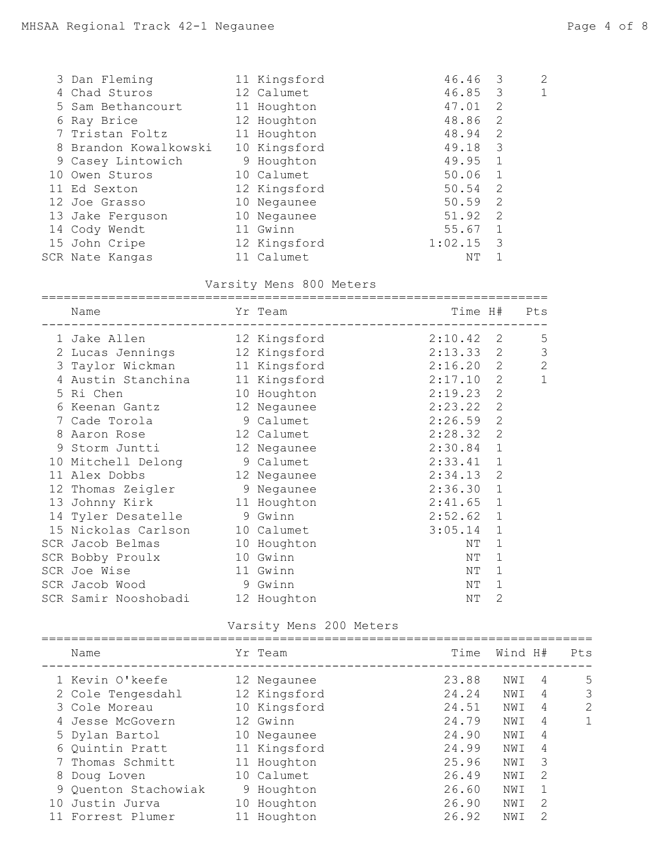|   | 3 Dan Fleming         | 11 Kingsford | 46.46   | 3            | $\overline{2}$ |
|---|-----------------------|--------------|---------|--------------|----------------|
| 4 | Chad Sturos           | 12 Calumet   | 46.85   | 3            | 1              |
|   | 5 Sam Bethancourt     | 11 Houghton  | 47.01   | 2            |                |
|   | 6 Ray Brice           | 12 Houghton  | 48.86   | 2            |                |
|   | 7 Tristan Foltz       | 11 Houghton  | 48.94   | 2            |                |
|   | 8 Brandon Kowalkowski | 10 Kingsford | 49.18   | -3           |                |
|   | 9 Casey Lintowich     | 9 Houghton   | 49.95   | 1            |                |
|   | 10 Owen Sturos        | 10 Calumet   | 50.06   | -1           |                |
|   | 11 Ed Sexton          | 12 Kingsford | 50.54   | 2            |                |
|   | 12 Joe Grasso         | 10 Negaunee  | 50.59   | 2            |                |
|   | 13 Jake Ferguson      | 10 Negaunee  | 51.92   | -2           |                |
|   | 14 Cody Wendt         | 11 Gwinn     | 55.67   | $\mathbf{1}$ |                |
|   | 15 John Cripe         | 12 Kingsford | 1:02.15 | 3            |                |
|   | SCR Nate Kangas       | 11 Calumet   | NΤ      |              |                |

### Varsity Mens 800 Meters

|    | Name                             | Yr Team<br>___________________________ | Time H#     |                | Pts          |
|----|----------------------------------|----------------------------------------|-------------|----------------|--------------|
|    | 1 Jake Allen 12 Kingsford        |                                        | $2:10.42$ 2 |                | 5            |
|    | 2 Lucas Jennings 12 Kingsford    |                                        | 2:13.33     | 2              | 3            |
|    | 3 Taylor Wickman 11 Kingsford    |                                        | $2:16.20$ 2 |                | $\mathbf{2}$ |
| 4  | Austin Stanchina 11 Kingsford    |                                        | 2:17.10     | 2              | $\mathbf{1}$ |
| 5. | Ri Chen                          | 10 Houghton                            | 2:19.23     | $\mathbf{2}$   |              |
| 6  | Keenan Gantz                     | 12 Negaunee                            | 2:23.22     | 2              |              |
|    | 7 Cade Torola                    | 9 Calumet                              | 2:26.59     | $\overline{2}$ |              |
| 8  | Aaron Rose                       | 12 Calumet                             | 2:28.32     | $\overline{2}$ |              |
|    | 9 Storm Juntti 12 Negaunee       |                                        | 2:30.84     | 1              |              |
| 10 | Mitchell Delong 9 Calumet        |                                        | 2:33.41     | 1              |              |
| 11 | Alex Dobbs                       | 12 Negaunee                            | 2:34.13     | $\mathbf{2}$   |              |
|    | 12 Thomas Zeigler 9 Negaunee     |                                        | 2:36.30     | 1              |              |
|    | 13 Johnny Kirk 11 Houghton       |                                        | 2:41.65     | 1              |              |
|    | 14 Tyler Desatelle 9 Gwinn       |                                        | 2:52.62     | 1              |              |
| 15 | Nickolas Carlson 10 Calumet      |                                        | 3:05.14     | 1              |              |
|    | SCR Jacob Belmas                 | 10 Houghton                            | NΤ          | 1              |              |
|    | SCR Bobby Proulx                 | 10 Gwinn                               | ΝT          | 1              |              |
|    | 11 Gwinn<br>SCR Joe Wise         |                                        | ΝT          | 1              |              |
|    | SCR Jacob Wood 9 Gwinn           |                                        | NΤ          | 1              |              |
|    | SCR Samir Nooshobadi 12 Houghton |                                        | ΝT          | 2              |              |

Varsity Mens 200 Meters

|    | Name                 | Yr Team      | Time  | Wind H# |                | Pts          |
|----|----------------------|--------------|-------|---------|----------------|--------------|
|    | 1 Kevin O'keefe      | 12 Negaunee  | 23.88 | NWI     | 4              | 5            |
|    | 2 Cole Tengesdahl    | 12 Kingsford | 24.24 | NWI     | 4              | 3            |
|    | 3 Cole Moreau        | 10 Kingsford | 24.51 | NWI     | 4              | 2            |
|    | 4 Jesse McGovern     | 12 Gwinn     | 24.79 | NWI     | $\overline{4}$ | $\mathbf{1}$ |
|    | 5 Dylan Bartol       | 10 Negaunee  | 24.90 | NWI     | 4              |              |
|    | 6 Quintin Pratt      | 11 Kingsford | 24.99 | NWI     | 4              |              |
|    | 7 Thomas Schmitt     | 11 Houghton  | 25.96 | NWI     | -3             |              |
| 8  | Doug Loven           | 10 Calumet   | 26.49 | NWI     | $\mathcal{L}$  |              |
|    | 9 Quenton Stachowiak | 9 Houghton   | 26.60 | NWI     |                |              |
| 10 | Justin Jurva         | 10 Houghton  | 26.90 | NWI     | 2              |              |
|    | Forrest Plumer       | Houghton     | 26.92 | NWI     | 2              |              |
|    |                      |              |       |         |                |              |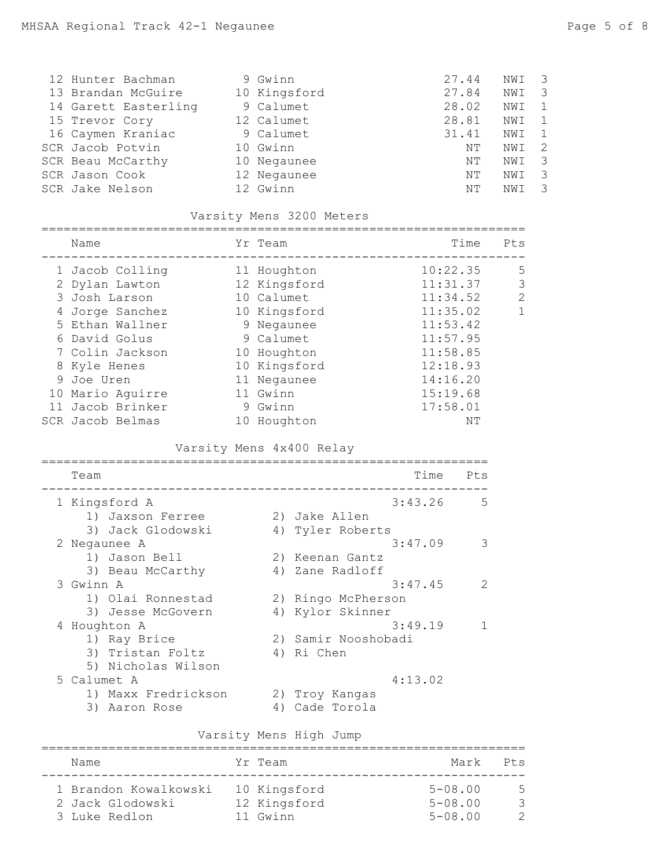| 12 Hunter Bachman    | 9 Gwinn      | 27.44 | NWI | $\overline{\phantom{a}}$ 3 |
|----------------------|--------------|-------|-----|----------------------------|
| 13 Brandan McGuire   | 10 Kingsford | 27.84 | NWI | 3                          |
| 14 Garett Easterling | 9 Calumet    | 28.02 | NWI |                            |
| 15 Trevor Cory       | 12 Calumet   | 28.81 | NWI |                            |
| 16 Caymen Kraniac    | 9 Calumet    | 31.41 | NWI |                            |
| SCR Jacob Potvin     | 10 Gwinn     | NΤ    | NWI |                            |
| SCR Beau McCarthy    | 10 Negaunee  | NΤ    | NWI |                            |
| SCR Jason Cook       | 12 Negaunee  | NΤ    | NWI |                            |
| SCR Jake Nelson      | 12 Gwinn     | NT.   | NWI |                            |

### Varsity Mens 3200 Meters

| Name             |  | Time                                                                                                                                                                                | Pts           |
|------------------|--|-------------------------------------------------------------------------------------------------------------------------------------------------------------------------------------|---------------|
| 1 Jacob Colling  |  | 10:22.35                                                                                                                                                                            | 5             |
| 2 Dylan Lawton   |  | 11:31.37                                                                                                                                                                            | 3             |
| 3 Josh Larson    |  | 11:34.52                                                                                                                                                                            | $\mathcal{L}$ |
| 4 Jorge Sanchez  |  | 11:35.02                                                                                                                                                                            | 1             |
| 5 Ethan Wallner  |  | 11:53.42                                                                                                                                                                            |               |
| 6 David Golus    |  | 11:57.95                                                                                                                                                                            |               |
| 7 Colin Jackson  |  | 11:58.85                                                                                                                                                                            |               |
| 8 Kyle Henes     |  | 12:18.93                                                                                                                                                                            |               |
| 9 Joe Uren       |  | 14:16.20                                                                                                                                                                            |               |
| 10 Mario Aquirre |  | 15:19.68                                                                                                                                                                            |               |
| 11 Jacob Brinker |  | 17:58.01                                                                                                                                                                            |               |
| SCR Jacob Belmas |  | NΤ                                                                                                                                                                                  |               |
|                  |  | Yr Team<br>11 Houghton<br>12 Kingsford<br>10 Calumet<br>10 Kingsford<br>9 Negaunee<br>9 Calumet<br>10 Houghton<br>10 Kingsford<br>11 Negaunee<br>11 Gwinn<br>9 Gwinn<br>10 Houghton |               |

## Varsity Mens 4x400 Relay

| Team                |    | Time<br>Pts              |
|---------------------|----|--------------------------|
| 1 Kingsford A       |    | 3:43.26<br>5             |
| 1) Jaxson Ferree    |    | 2) Jake Allen            |
| 3) Jack Glodowski   | 4) | Tyler Roberts            |
| 2 Negaunee A        |    | 3:47.09<br>3             |
| 1) Jason Bell       |    | 2) Keenan Gantz          |
| 3) Beau McCarthy    |    | 4) Zane Radloff          |
| 3 Gwinn A           |    | 3:47.45<br>$\mathcal{P}$ |
| 1) Olai Ronnestad   |    | 2) Ringo McPherson       |
| 3) Jesse McGovern   |    | 4) Kylor Skinner         |
| 4 Houghton A        |    | 3:49.19<br>1             |
| 1) Ray Brice        |    | 2) Samir Nooshobadi      |
| 3) Tristan Foltz    |    | 4) Ri Chen               |
| 5) Nicholas Wilson  |    |                          |
| 5 Calumet A         |    | 4:13.02                  |
| 1) Maxx Fredrickson | 2) | Troy Kangas              |
| 3) Aaron Rose       | 4) | Cade Torola              |
|                     |    |                          |

### Varsity Mens High Jump

| Name                                                       | Yr Team                                  | Mark                                      | $P^+s$   |
|------------------------------------------------------------|------------------------------------------|-------------------------------------------|----------|
| 1 Brandon Kowalkowski<br>2 Jack Glodowski<br>3 Luke Redlon | 10 Kingsford<br>12 Kingsford<br>11 Gwinn | $5 - 08.00$<br>$5 - 08.00$<br>$5 - 08.00$ | -5<br>-२ |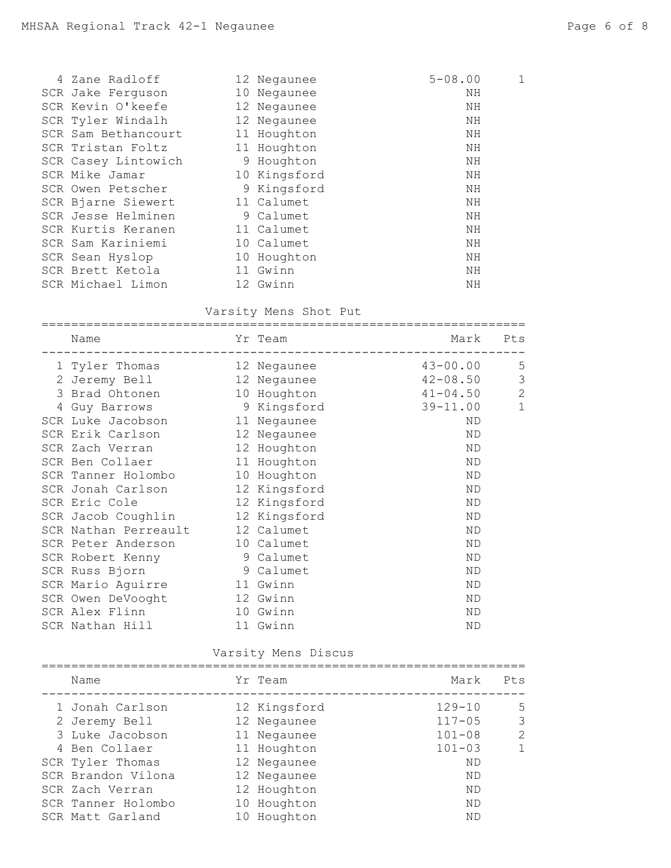| 4 Zane Radloff      | 12 Negaunee  | $5 - 08.00$ | 1 |
|---------------------|--------------|-------------|---|
| SCR Jake Ferguson   | 10 Negaunee  | ΝH          |   |
| SCR Kevin O'keefe   | 12 Negaunee  | ΝH          |   |
| SCR Tyler Windalh   | 12 Negaunee  | ΝH          |   |
| SCR Sam Bethancourt | 11 Houghton  | ΝH          |   |
| SCR Tristan Foltz   | 11 Houghton  | ΝH          |   |
| SCR Casey Lintowich | 9 Houghton   | ΝH          |   |
| SCR Mike Jamar      | 10 Kingsford | ΝH          |   |
| SCR Owen Petscher   | 9 Kingsford  | ΝH          |   |
| SCR Bjarne Siewert  | 11 Calumet   | ΝH          |   |
| SCR Jesse Helminen  | 9 Calumet    | ΝH          |   |
| SCR Kurtis Keranen  | 11 Calumet   | ΝH          |   |
| SCR Sam Kariniemi   | 10 Calumet   | ΝH          |   |
| SCR Sean Hyslop     | 10 Houghton  | ΝH          |   |
| SCR Brett Ketola    | 11 Gwinn     | ΝH          |   |
| SCR Michael Limon   | 12 Gwinn     | ΝH          |   |
|                     |              |             |   |

## Varsity Mens Shot Put

| Name                                   | Yr Team      | Mark         | Pts            |
|----------------------------------------|--------------|--------------|----------------|
| 1 Tyler Thomas                         | 12 Negaunee  | $43 - 00.00$ | 5              |
| 2 Jeremy Bell                          | 12 Negaunee  | $42 - 08.50$ | $\mathfrak{Z}$ |
| 3 Brad Ohtonen                         | 10 Houghton  | $41 - 04.50$ | $\sqrt{2}$     |
| 4 Guy Barrows 9 Kingsford              |              | 39-11.00     | $\mathbf{1}$   |
| SCR Luke Jacobson                      | 11 Negaunee  | <b>ND</b>    |                |
| SCR Erik Carlson                       | 12 Negaunee  | <b>ND</b>    |                |
| SCR Zach Verran                        | 12 Houghton  | ND           |                |
| SCR Ben Collaer                        | 11 Houghton  | ND           |                |
| SCR Tanner Holombo                     | 10 Houghton  | <b>ND</b>    |                |
| SCR Jonah Carlson                      | 12 Kingsford | ND           |                |
| SCR Eric Cole                          | 12 Kingsford | <b>ND</b>    |                |
| SCR Jacob Coughlin 12 Kingsford        |              | <b>ND</b>    |                |
| SCR Nathan Perreault                   | 12 Calumet   | <b>ND</b>    |                |
| SCR Peter Anderson                     | 10 Calumet   | <b>ND</b>    |                |
| SCR Robert Kenny 9 Calumet             |              | <b>ND</b>    |                |
| SCR Russ Bjorn                         | 9 Calumet    | <b>ND</b>    |                |
| SCR Mario Aguirre                      | 11 Gwinn     | <b>ND</b>    |                |
| SCR Owen DeVooght                      | 12 Gwinn     | ND           |                |
| SCR Alex Flinn                         | 10 Gwinn     | <b>ND</b>    |                |
| SCR Nathan Hill <b>SCR</b> Nathan Hill | 11 Gwinn     | ND           |                |
|                                        |              |              |                |

## Varsity Mens Discus

| Name               | Yr Team      | Mark       | Pts          |
|--------------------|--------------|------------|--------------|
| 1 Jonah Carlson    | 12 Kingsford | $129 - 10$ | .5           |
| 2 Jeremy Bell      | 12 Negaunee  | $117 - 05$ | 3            |
| 3 Luke Jacobson    | 11 Negaunee  | $101 - 08$ | 2            |
| 4 Ben Collaer      | 11 Houghton  | $101 - 03$ | $\mathbf{1}$ |
| SCR Tyler Thomas   | 12 Negaunee  | <b>ND</b>  |              |
| SCR Brandon Vilona | 12 Negaunee  | <b>ND</b>  |              |
| SCR Zach Verran    | 12 Houghton  | ND         |              |
| SCR Tanner Holombo | 10 Houghton  | <b>ND</b>  |              |
| SCR Matt Garland   | 10 Houghton  | <b>ND</b>  |              |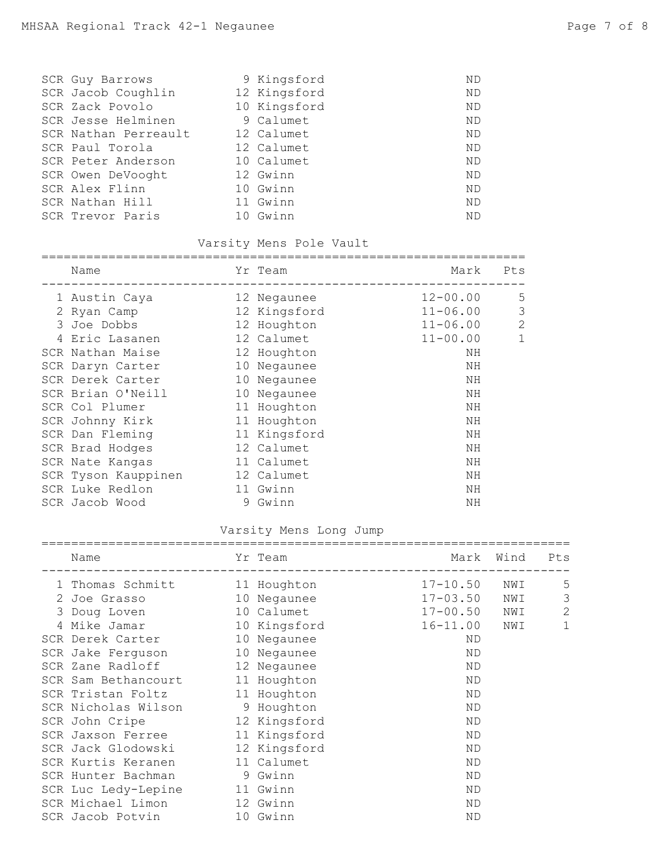|                                                                                                                                                                                                                               | ND                                                                                                                                              |
|-------------------------------------------------------------------------------------------------------------------------------------------------------------------------------------------------------------------------------|-------------------------------------------------------------------------------------------------------------------------------------------------|
|                                                                                                                                                                                                                               | ND                                                                                                                                              |
|                                                                                                                                                                                                                               | <b>ND</b>                                                                                                                                       |
|                                                                                                                                                                                                                               | <b>ND</b>                                                                                                                                       |
|                                                                                                                                                                                                                               | <b>ND</b>                                                                                                                                       |
|                                                                                                                                                                                                                               | <b>ND</b>                                                                                                                                       |
|                                                                                                                                                                                                                               | <b>ND</b>                                                                                                                                       |
|                                                                                                                                                                                                                               | <b>ND</b>                                                                                                                                       |
|                                                                                                                                                                                                                               | <b>ND</b>                                                                                                                                       |
|                                                                                                                                                                                                                               | <b>ND</b>                                                                                                                                       |
| 10                                                                                                                                                                                                                            | <b>ND</b>                                                                                                                                       |
| SCR Guy Barrows<br>SCR Jacob Coughlin<br>SCR Zack Povolo<br>SCR Jesse Helminen<br>SCR Nathan Perreault<br>SCR Paul Torola<br>SCR Peter Anderson<br>SCR Owen DeVooght<br>SCR Alex Flinn<br>SCR Nathan Hill<br>SCR Trevor Paris | 9 Kingsford<br>12 Kingsford<br>10 Kingsford<br>9 Calumet<br>12 Calumet<br>12 Calumet<br>10 Calumet<br>12 Gwinn<br>10 Gwinn<br>11 Gwinn<br>Gwinn |

# Varsity Mens Pole Vault

| Name                |    | Yr Team      | Mark         | Pts            |
|---------------------|----|--------------|--------------|----------------|
| 1 Austin Caya       |    | 12 Negaunee  | $12 - 00.00$ | 5              |
| 2 Ryan Camp         |    | 12 Kingsford | $11 - 06.00$ | 3              |
| 3 Joe Dobbs         |    | 12 Houghton  | $11 - 06.00$ | $\overline{2}$ |
| Eric Lasanen        |    | 12 Calumet   | $11 - 00.00$ | 1              |
| SCR Nathan Maise    |    | 12 Houghton  | ΝH           |                |
| SCR Daryn Carter    |    | 10 Negaunee  | ΝH           |                |
| SCR Derek Carter    |    | 10 Negaunee  | NH           |                |
| SCR Brian O'Neill   |    | 10 Negaunee  | NH           |                |
| SCR Col Plumer      |    | 11 Houghton  | NH           |                |
| SCR Johnny Kirk     |    | 11 Houghton  | NH           |                |
| SCR Dan Fleming     |    | 11 Kingsford | NH           |                |
| SCR Brad Hodges     |    | 12 Calumet   | NH           |                |
| SCR Nate Kangas     |    | 11 Calumet   | ΝH           |                |
| SCR Tyson Kauppinen |    | 12 Calumet   | ΝH           |                |
| SCR Luke Redlon     | 11 | Gwinn        | NH           |                |
| SCR Jacob Wood      | 9  | Gwinn        | ΝH           |                |

## Varsity Mens Long Jump

| Name                            |   | Yr Team      | Mark         | Wind | Pts          |
|---------------------------------|---|--------------|--------------|------|--------------|
| 1 Thomas Schmitt                |   | 11 Houghton  | $17 - 10.50$ | NWI  | 5            |
| 2 Joe Grasso                    |   | 10 Negaunee  | $17 - 03.50$ | NWI  | 3            |
| 3 Doug Loven                    |   | 10 Calumet   | $17 - 00.50$ | NWI  | $\mathbf{2}$ |
| 10 Kingsford<br>Mike Jamar      |   |              | $16 - 11.00$ | NWI  | $\mathbf 1$  |
| SCR Derek Carter                |   | 10 Negaunee  | ND.          |      |              |
| SCR Jake Ferguson               |   | 10 Negaunee  | ND.          |      |              |
| SCR Zane Radloff                |   | 12 Negaunee  | ND           |      |              |
| SCR Sam Bethancourt 11 Houghton |   |              | <b>ND</b>    |      |              |
| SCR Tristan Foltz 11 Houghton   |   |              | ND           |      |              |
| SCR Nicholas Wilson             |   | 9 Houghton   | <b>ND</b>    |      |              |
| SCR John Cripe                  |   | 12 Kingsford | <b>ND</b>    |      |              |
| SCR Jaxson Ferree 11 Kingsford  |   |              | <b>ND</b>    |      |              |
| SCR Jack Glodowski 12 Kingsford |   |              | <b>ND</b>    |      |              |
| SCR Kurtis Keranen              |   | 11 Calumet   | ND           |      |              |
| SCR Hunter Bachman              | 9 | Gwinn        | <b>ND</b>    |      |              |
| SCR Luc Ledy-Lepine             |   | 11 Gwinn     | <b>ND</b>    |      |              |
| SCR Michael Limon               |   | 12 Gwinn     | ND           |      |              |
| SCR Jacob Potvin                |   | 10 Gwinn     | ND           |      |              |
|                                 |   |              |              |      |              |